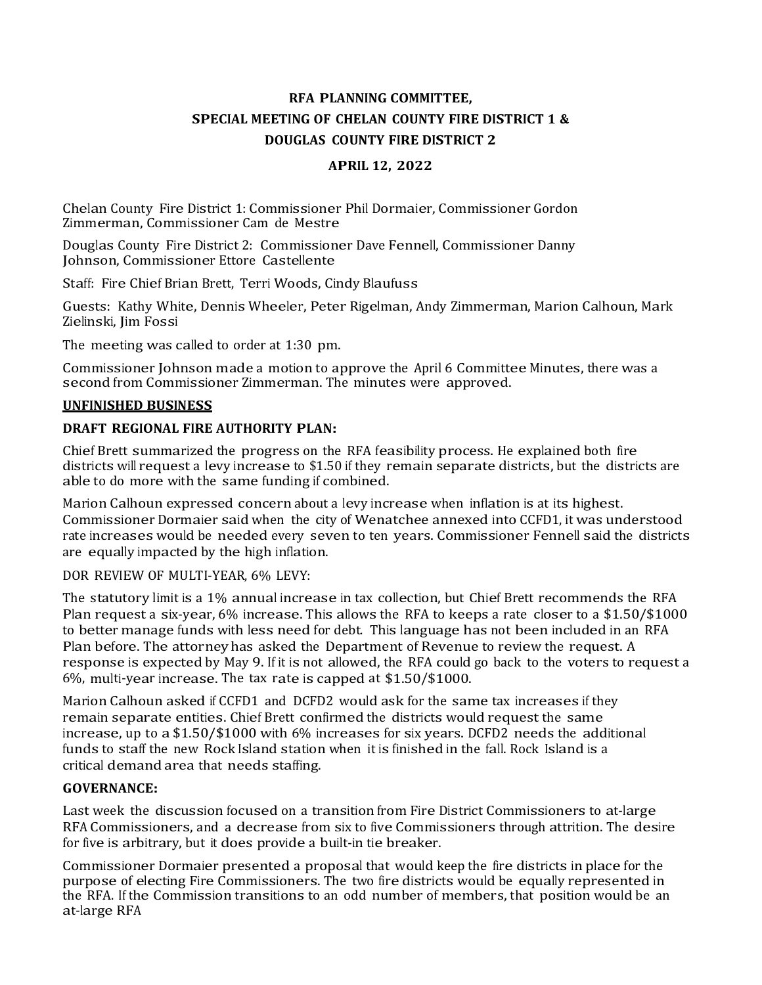# RFA PLANNING COMMITTEE, SPECIAL MEETING OF CHELAN COUNTY FIRE DISTRICT 1 & DOUGLAS COUNTY FIRE DISTRICT 2

## APRIL 12, 2022

Chelan County Fire District 1: Commissioner Phil Dormaier, Commissioner Gordon Zimmerman, Commissioner Cam de Mestre

Douglas County Fire District 2: Commissioner Dave Fennell, Commissioner Danny Johnson, Commissioner Ettore Castellente

Staff: Fire Chief Brian Brett, Terr<sup>i</sup> Woods, Cindy Blaufuss

Guests: Kathy White, Dennis Wheeler, Peter Rigelman, Andy Zimmerman, Marion Calhoun, Mark Zielinski, Jim Fossi

The meeting was called to order at 1:30 pm.

Commissioner Johnson made a motion to approve the April 6 Committee Minutes, there was a second from Commissioner Zimmerman. The minutes were approved.

#### UNFINISHED BUSINESS

### DRAFT REGIONAL FIRE AUTHORITY PLAN:

Chief Brett summarized the progress on the RFA feasibility process. He explained both fire districts will request a levy increase to \$1.50 if they remain separate districts, but the districts are able to do more with the same funding if combined.

Marion Calhoun expressed concern about a levy increase when inflation is at it<sup>s</sup> highest. Commissioner Dormaier said when the city of Wenatchee annexed into CCFD1, it was understood rate increases would be needed every seven to ten years. Commissioner Fennell said the districts are equally impacted by the high inflation.

DOR REVIEW OF MULTI-YEAR, 6% LEVY:

The statutory limit is a 1% annual increase in tax collection, but Chief Brett recommends the RFA Plan request a six-year, 6% increase. This allows the RFA to keeps a rate closer to a \$1.50/\$1000 to better manage funds with less need for debt. This language has not been included in an RFA Plan before. The attorney has asked the Department of Revenue to review the request. A response is expected by May 9. If it is not allowed, the RFA could go back to the voters to request a 6%, multi-year increase. The tax rate is capped at \$1.50/\$1000.

Marion Calhoun asked if CCFD1 and DCFD2 would ask for the same tax increases if they remain separate entities. Chief Brett confirmed the districts would request the same increase, up to a \$1.50/\$1000 with 6% increases for six years. DCFD2 needs the additional funds to staff the new Rock Island station when it is finished in the fall. Rock Island is a critical demand area that needs staffing.

### GOVERNANCE:

Last week the discussion focused on a transition <sup>f</sup>rom Fire District Commissioners to at-large RFA Commissioners, and a decrease from six to five Commissioners through attrition. The desire for five is arbitrary, but it does provide a built-in tie breaker.

Commissioner Dormaier presented a proposal that would keep the fire districts in place for the purpose of electing Fire Commissioners. The two fire districts would be equally represented in the RFA. If the Commission transitions to an odd number of members, that position would be an at-large RFA